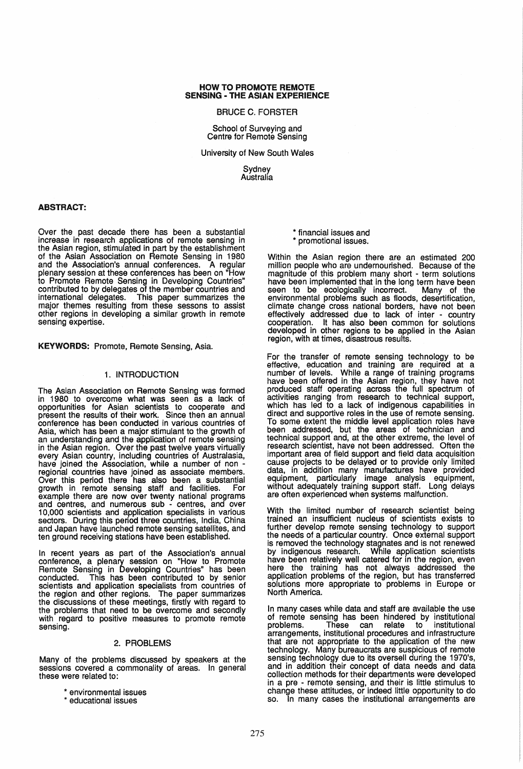## HOW TO PROMOTE REMOTE SENSING - THE ASIAN EXPERIENCE

#### BRUCE C. FORSTER

School of Surveying and Centre for Remote Sensing

University of New South Wales

Sydney Australia

# ABSTRACT:

Over the past decade there has been a substantial increase in research applications of remote sensing in the Asian region, stimulated in part by the establishment of the Asian Association on Remote Sensing in 1980 and the Association's annual conferences. A regular plenary session at these conferences has been on "How to Promote Remote Sensing in Developing Countries" contributed to by delegates of the member countries and international delegates. This paper summarizes the major themes resulting from these sessons to assist other regions in developing a similar growth in remote sensing expertise.

KEYWORDS: Promote, Remote Sensing, Asia.

## 1. INTRODUCTION

The Asian Association on Remote Sensing was formed in 1980 to overcome what was seen as a lack of opportunities for Asian scientists to cooperate and present the results of their work. Since then an annual conference has been conducted in various countries of Asia, which has been a major stimulant to the growth of an understanding and the application of remote sensing in the Asian region. Over the past twelve years virtually every Asian country, including countries of Australasia, have joined the Association, while a number of non have joined the Association, while a number of non - regional countries have joined as associate members. Over this period there has also been a substantial growth in remote sensing staff and facilities. For example there are now over twenty national programs and centres, and numerous sub - centres, and over 10,000 scientists and application specialists in various sectors. During this period three countries, India, China and Japan have launched remote sensing satellites, and ten ground receiving stations have been established.

In recent years as part of the Association's annual conference, a plenary session on "How to Promote Remote Sensing in Developing Countries" has been conducted. This has been contributed to by senior scientists and application specialists from countries of the region and other regions. The paper summarizes the discussions of these meetings, firstly with regard to the problems that need to be overcome and secondly with regard to positive measures to promote remote sensing.

#### 2. PROBLEMS

Many of the problems discussed by speakers at the sessions covered a commonality of areas. In general these were related to:

." environmental issues

educational issues

." financial issues and promotional issues.

Within the Asian region there are an estimated 200 million people who are undernourished. Because of the magnitude of this problem many short - term solutions have been implemented that in the long term have been<br>seen to be ecologically incorrect. Many of the seen to be ecologically incorrect. environmental problems such as floods, desertification climate change cross national borders, have not been effectively addressed due to lack of inter - country cooperation. It has also been common for solutions developed in other regions to be applied in the Asian region, with at times, disastrous results.

For the transfer of remote sensing technology to be effective, education and training are required at a number of levels. While a range of training programs have been offered in the Asian region, they have not produced staff operating across the full spectrum of activities ranging from research to technical support, which has led to a lack of indigenous capabilities in direct and supportive roles in the use of remote sensing. To some extent the middle level application roles have been addressed, but the areas of technician and technical support and, at the other extreme, the level of research scientist, have not been addressed. Often the important area of field support and field data acquisition cause projects to be delayed or to provide only limited data, in addition many manufactures have provided equipment, particularly image analysis equipment, without adequately training support staff. Long delays are often experienced when systems malfunction.

With the limited number of research scientist being trained an insufficient nucleus of scientists exists to further develop remote sensing technology to support the needs of a particular country. Once external support is removed the technology stagnates and is not renewed<br>by indigenous research. While application scientists by indigenous research. While application scientists have been relatively well catered for in the region, even here the training has not always addressed the application problems of the region, but has transferred solutions more appropriate to problems in Europe or North America.

In many cases while data and staff are available the use of remote sensing has been hindered by institutional problems. These can relate to institutional These can relate to arrangements, institutional procedures and infrastructure that are not appropriate to the application of the new technology. Many bureaucrats are suspicious of remote sensing technology due to its oversell during the 1970's, and in addition their concept of data needs and data collection methods for their departments were developed in a pre - remote sensing, and their is little stimulus to change these attitudes. or indeed little opportunity to do so. In many cases the institutional arrangements are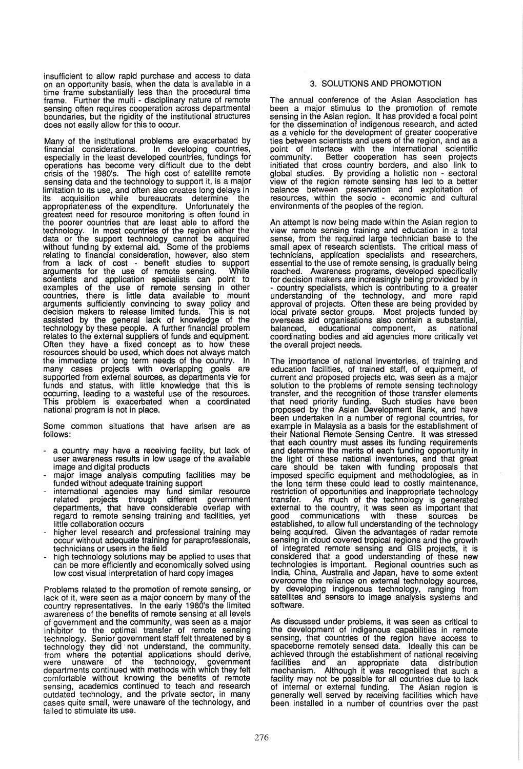insufficient to allow rapid purchase and access to data on an opportunity basis, when the data is available in a time frame substantially less than the procedural time frame. Further the multi - disciplinary nature of remote sensing often requires cooperation across departmental boundaries, but the rigidity of the institutional structures does not easily allow for this to occur.

Many of the institutional problems are exacerbated by financial considerations. In developing countries, especially in the least developed countries, fundings for operations has become very difficult due to the debt crisis of the 1980's. The high cost of satellite remote sensing data and the technology to support it, is a major limitation to its use, and often also creates long delays in its acquisition while bureaucrats determine the appropriateness of the expenditure. Unfortunately the greatest need for resource monitoring is often found in the poorer countries that are least able to afford the technology. In most countries of the region either the technology. In most countries of the region either the data or the support technology cannot be acquired without funding by external aid. Some of the problems relating to financial consideration, however, also stem from a lack of cost - benefit studies to support arguments for the use of remote sensing. While scientists and application specialists can point to examples of the use of remote sensing in other countries, there is little data available to mount arguments sufficiently convincing to sway policy and decision makers to release limited funds. This is not assisted by the general lack of knowledge of the technology by these people. A further financial problem relates to the external suppliers of funds and equipment. Often they have a fixed concept as to how these resources should be used, which does not always match the immediate or long term needs of the country. In many cases projects with overlapping goals are supported from external sources, as departments vie for funds and status, with little knowledge that this is occurring, leading to a wasteful use of the resources. This problem is exacerbated when a coordinated national program is not in place.

Some common situations that have arisen are as follows:

- a country may have a receiving facility, but lack of user awareness results in low usage of the available
- image and digital products major image analysis computing facilities may be
- funded without adequate training support international agencies may fund similar resource related projects through different government departments, that have considerable overlap with regard to remote sensing training and facilities, yet
- little collaboration occurs<br>higher level research and professional training may occur without adequate training for paraprofessionals,<br>technicians or users in the field
- high technology solutions may be applied to uses that can be more efficiently and economically solved using low cost visual interpretation of hard copy images

Problems related to the promotion of remote sensing, or lack of it, were seen as a major concern by many of the country representatives. In the early 1980's the limited awareness of the benefits of remote sensing at all levels of government and the community, was seen as a major inhibitor to the optimal transfer of remote sensing technology. Senior government staff felt threatened by a technology they did' not understand, the community, from where the potential applications should derive, were unaware of the teChnOlogy, government departments continued with methods with which they felt comfortable without knowing the benefits of remote sensing, academics continued to teach and research outdated technology, and the private sector, in many cases quite small, were unaware of the technology, and failed to stimulate its use.

# 3. SOLUTIONS AND PROMOTION

The annual conference of the Asian Association has been a major stimulus to the promotion of remote sensing in the Asian region. It has provided a focal point for the dissemination of indigenous research, and acted as a vehicle for the development of greater cooperative ties between scientists and users of the region, and as a point of interface with the international scientific community. Better cooperation has seen projects initiated that cross country borders, and also link to global studies. By providing a holistic non - sectoral view of the region remote sensing has led to a better balance between preservation and exploitation of resources, within the socio - economic and cultural environments of the peoples of the region.

An attempt is now being made within the Asian region to view remote sensing training and education in a total sense, from the required large technician base to the small apex of research scientists. The critical mass of technicians, application specialists and researchers, essential to the use of remote sensing, is gradually being reached. Awareness programs, developed specifically<br>for decision makers are increasingly being provided by in for decision makers are increasingly being provided by in<br>- country specialists, which is contributing to a greater understanding of the technology, and more rapid approval of projects. Often these are being provided by local private sector groups. Most projects funded by overseas aid organisations also contain a substantial, balanced, educational component, as national coordinating bodies and aid agencies more critically vet the overall project needs.

The importance of national inventories, of training and education facilities, of trained staff, of equipment, of current and proposed projects etc, was seen as a major solution to the problems of remote sensing technology transfer, and the recognition of those transfer elements that need priority funding. Such studies have been proposed by the Asian Development Bank, and have been undertaken in a number of regional countries, for example in Malaysia as a basis for the establishment of their National Remote Sensing Centre. It was stressed that each country must asses its funding requirements and determine the merits of each funding opportunity in the light of these national inventories, and that great care should be taken with funding proposals that imposed specific equipment and methodologies, as in the lona term these could lead to costly maintenance, restriction of opportunities and inappropriate technology transfer. As much of the technology is generated external to the country, it was seen as important that good communications with these sources be established, to allow full understanding of the technology being acquired. Given the advantages of radar remote sensing in cloud covered tropical regions and the growth of integrated remote sensing and GIS projects, it is considered that a good understanding of these new technologies is important. Regional countries such as India, China, Australia and Japan, have to some extent overcome the reliance on external technology sources, by developing indigenous technology, ranging from satellites and sensors to image analysis systems and software.

As discussed under problems, it was seen as critical to the development of indigenous capabilities in remote sensing, that countries of the region have access to spaceborne remotely sensed data. Ideally this can be achieved through the establishment of national receiving facilities and an appropriate data distribution mechanism. Although it was recognised that such a facility may not be possible for all countries due to lack of internal or external funding. The Asian region is generally well served by receiving facilities which have been installed in a number of countries over the past